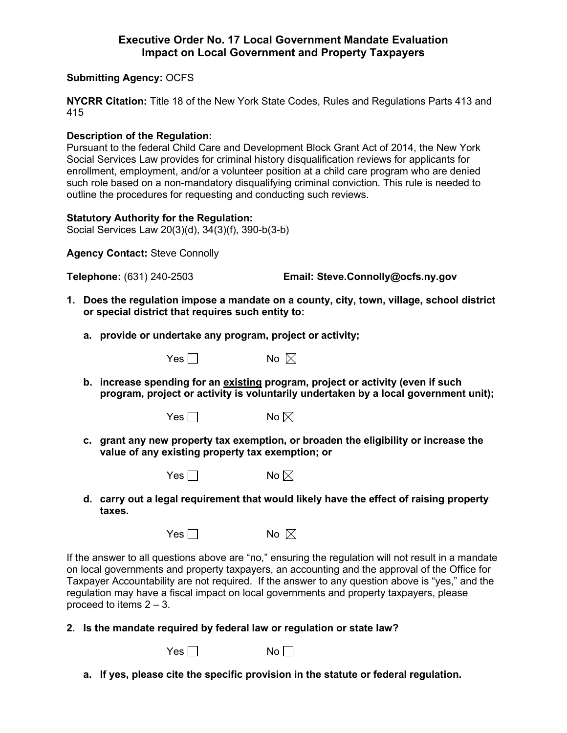## **Executive Order No. 17 Local Government Mandate Evaluation Impact on Local Government and Property Taxpayers**

## **Submitting Agency:** OCFS

**NYCRR Citation:** Title 18 of the New York State Codes, Rules and Regulations Parts 413 and 415

## **Description of the Regulation:**

Pursuant to the federal Child Care and Development Block Grant Act of 2014, the New York Social Services Law provides for criminal history disqualification reviews for applicants for enrollment, employment, and/or a volunteer position at a child care program who are denied such role based on a non-mandatory disqualifying criminal conviction. This rule is needed to outline the procedures for requesting and conducting such reviews.

## **Statutory Authority for the Regulation:**

Social Services Law 20(3)(d), 34(3)(f), 390-b(3-b)

**Agency Contact:** Steve Connolly

**Telephone:** (631) 240-2503 **Email: Steve.Connolly@ocfs.ny.gov**

- **1. Does the regulation impose a mandate on a county, city, town, village, school district or special district that requires such entity to:**
	- **a. provide or undertake any program, project or activity;**



**b. increase spending for an existing program, project or activity (even if such program, project or activity is voluntarily undertaken by a local government unit);**

Yes  $\Box$  No  $\boxtimes$ 

**c. grant any new property tax exemption, or broaden the eligibility or increase the value of any existing property tax exemption; or**

|  | No $\boxtimes$ |
|--|----------------|
|--|----------------|

**d. carry out a legal requirement that would likely have the effect of raising property taxes.**

| Yes $\Box$ | No $\boxtimes$ |  |
|------------|----------------|--|
|------------|----------------|--|

If the answer to all questions above are "no," ensuring the regulation will not result in a mandate on local governments and property taxpayers, an accounting and the approval of the Office for Taxpayer Accountability are not required. If the answer to any question above is "yes," and the regulation may have a fiscal impact on local governments and property taxpayers, please proceed to items  $2 - 3$ .

**2. Is the mandate required by federal law or regulation or state law?**

 $Yes \Box$  No  $\Box$ 

**a. If yes, please cite the specific provision in the statute or federal regulation.**